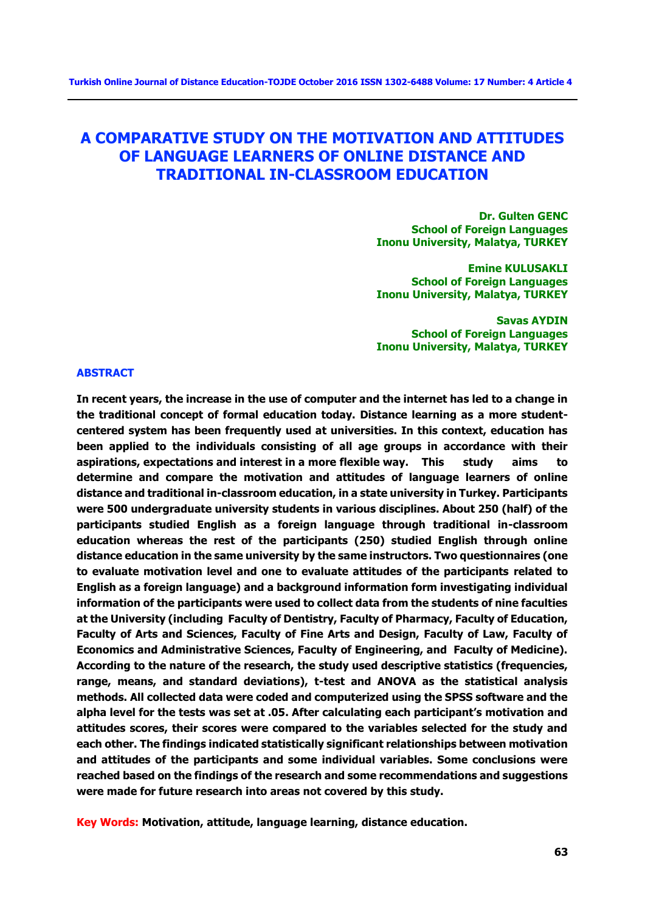# **A COMPARATIVE STUDY ON THE MOTIVATION AND ATTITUDES OF LANGUAGE LEARNERS OF ONLINE DISTANCE AND TRADITIONAL IN-CLASSROOM EDUCATION**

**Dr. Gulten GENC School of Foreign Languages Inonu University, Malatya, TURKEY** 

**Emine KULUSAKLI School of Foreign Languages Inonu University, Malatya, TURKEY** 

**Savas AYDIN School of Foreign Languages Inonu University, Malatya, TURKEY** 

#### **ABSTRACT**

**In recent years, the increase in the use of computer and the internet has led to a change in the traditional concept of formal education today. Distance learning as a more studentcentered system has been frequently used at universities. In this context, education has been applied to the individuals consisting of all age groups in accordance with their aspirations, expectations and interest in a more flexible way. This study aims to determine and compare the motivation and attitudes of language learners of online distance and traditional in-classroom education, in a state university in Turkey. Participants were 500 undergraduate university students in various disciplines. About 250 (half) of the participants studied English as a foreign language through traditional in-classroom education whereas the rest of the participants (250) studied English through online distance education in the same university by the same instructors. Two questionnaires (one to evaluate motivation level and one to evaluate attitudes of the participants related to English as a foreign language) and a background information form investigating individual information of the participants were used to collect data from the students of nine faculties at the University (including Faculty of Dentistry, Faculty of Pharmacy, Faculty of Education, Faculty of Arts and Sciences, Faculty of Fine Arts and Design, Faculty of Law, Faculty of Economics and Administrative Sciences, Faculty of Engineering, and Faculty of Medicine). According to the nature of the research, the study used descriptive statistics (frequencies, range, means, and standard deviations), t-test and ANOVA as the statistical analysis methods. All collected data were coded and computerized using the SPSS software and the alpha level for the tests was set at .05. After calculating each participant's motivation and attitudes scores, their scores were compared to the variables selected for the study and each other. The findings indicated statistically significant relationships between motivation and attitudes of the participants and some individual variables. Some conclusions were reached based on the findings of the research and some recommendations and suggestions were made for future research into areas not covered by this study.** 

**Key Words: Motivation, attitude, language learning, distance education.**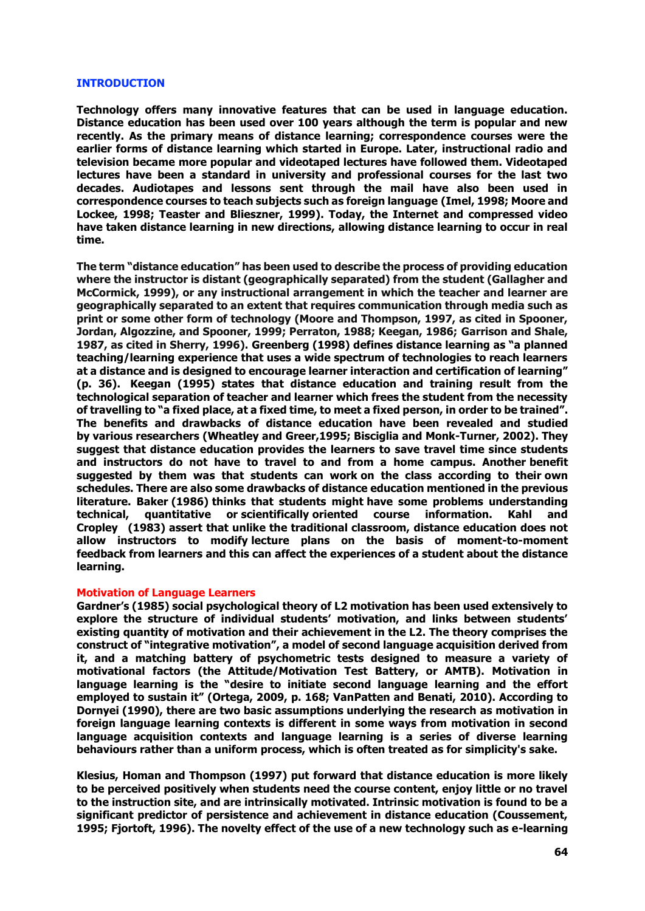#### **INTRODUCTION**

**Technology offers many innovative features that can be used in language education. Distance education has been used over 100 years although the term is popular and new recently. As the primary means of distance learning; correspondence courses were the earlier forms of distance learning which started in Europe. Later, instructional radio and television became more popular and videotaped lectures have followed them. Videotaped lectures have been a standard in university and professional courses for the last two decades. Audiotapes and lessons sent through the mail have also been used in correspondence courses to teach subjects such as foreign language (Imel, 1998; Moore and Lockee, 1998; Teaster and Blieszner, 1999). Today, the Internet and compressed video have taken distance learning in new directions, allowing distance learning to occur in real time.** 

**The term "distance education" has been used to describe the process of providing education where the instructor is distant (geographically separated) from the student (Gallagher and McCormick, 1999), or any instructional arrangement in which the teacher and learner are geographically separated to an extent that requires communication through media such as print or some other form of technology (Moore and Thompson, 1997, as cited in Spooner, Jordan, Algozzine, and Spooner, 1999; Perraton, 1988; Keegan, 1986; Garrison and Shale, 1987, as cited in Sherry, 1996). Greenberg (1998) defines distance learning as "a planned teaching/learning experience that uses a wide spectrum of technologies to reach learners at a distance and is designed to encourage learner interaction and certification of learning" (p. 36). Keegan (1995) states that distance education and training result from the technological separation of teacher and learner which frees the student from the necessity of travelling to "a fixed place, at a fixed time, to meet a fixed person, in order to be trained". The benefits and drawbacks of distance education have been revealed and studied by various researchers (Wheatley and Greer,1995; Bisciglia and Monk-Turner, 2002). They suggest that distance education provides the learners to save travel time since students and instructors do not have to travel to and from a home campus. Another benefit suggested by them was that students can work on the class according to their own schedules. There are also some drawbacks of distance education mentioned in the previous literature. Baker (1986) thinks that students might have some problems understanding technical, quantitative or scientifically oriented course information. Kahl and Cropley (1983) assert that unlike the traditional classroom, distance education does not allow instructors to modify lecture plans on the basis of moment-to-moment feedback from learners and this can affect the experiences of a student about the distance learning.**

#### **Motivation of Language Learners**

**Gardner's (1985) social psychological theory of L2 motivation has been used extensively to explore the structure of individual students' motivation, and links between students' existing quantity of motivation and their achievement in the L2. The theory comprises the construct of "integrative motivation", a model of second language acquisition derived from it, and a matching battery of psychometric tests designed to measure a variety of motivational factors (the Attitude/Motivation Test Battery, or AMTB). Motivation in language learning is the "desire to initiate second language learning and the effort employed to sustain it" (Ortega, 2009, p. 168; VanPatten and Benati, 2010). According to Dornyei (1990), there are two basic assumptions underlying the research as motivation in foreign language learning contexts is different in some ways from motivation in second language acquisition contexts and language learning is a series of diverse learning behaviours rather than a uniform process, which is often treated as for simplicity's sake.** 

**Klesius, Homan and Thompson (1997) put forward that distance education is more likely to be perceived positively when students need the course content, enjoy little or no travel to the instruction site, and are intrinsically motivated. Intrinsic motivation is found to be a significant predictor of persistence and achievement in distance education (Coussement, 1995; Fjortoft, 1996). The novelty effect of the use of a new technology such as e-learning**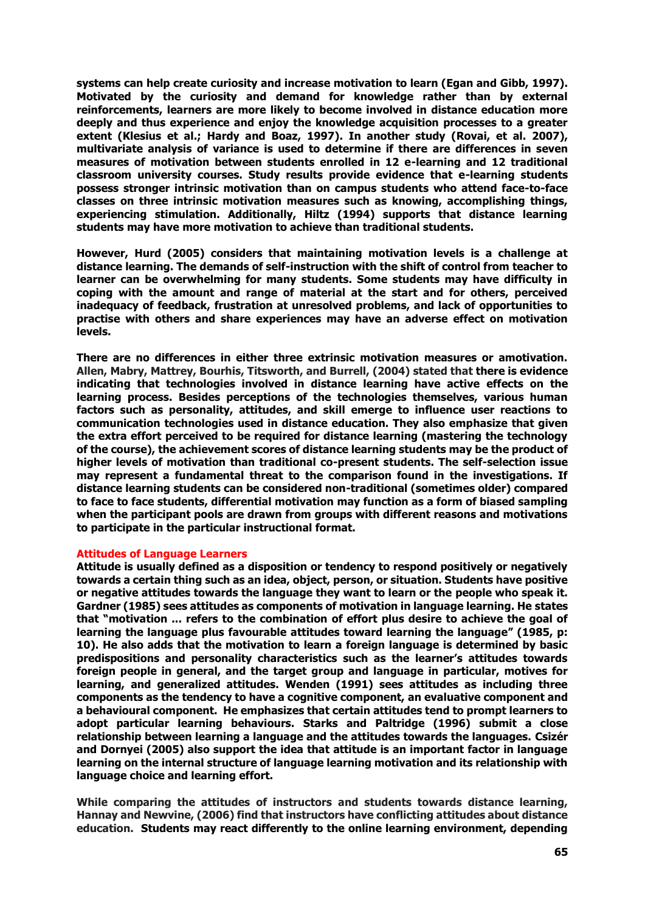**systems can help create curiosity and increase motivation to learn (Egan and Gibb, 1997). Motivated by the curiosity and demand for knowledge rather than by external reinforcements, learners are more likely to become involved in distance education more deeply and thus experience and enjoy the knowledge acquisition processes to a greater extent (Klesius et al.; Hardy and Boaz, 1997). In another study [\(Rovai, e](http://www.highbeam.com/Search.aspx?q=author:%5bRovai%2c+Alfred+P%5d)t al. 2007), multivariate analysis of variance is used to determine if there are differences in seven measures of motivation between students enrolled in 12 e-learning and 12 traditional classroom university courses. Study results provide evidence that e-learning students possess stronger intrinsic motivation than on campus students who attend face-to-face classes on three intrinsic motivation measures such as knowing, accomplishing things, experiencing stimulation. Additionally, Hiltz (1994) supports that distance learning students may have more motivation to achieve than traditional students.**

**However, Hurd (2005) considers that maintaining motivation levels is a challenge at distance learning. The demands of self-instruction with the shift of control from teacher to learner can be overwhelming for many students. Some students may have difficulty in coping with the amount and range of material at the start and for others, perceived inadequacy of feedback, frustration at unresolved problems, and lack of opportunities to practise with others and share experiences may have an adverse effect on motivation levels.**

**There are no differences in either three extrinsic motivation measures or amotivation. Allen, Mabry, Mattrey, Bourhis, Titsworth, and Burrell, (2004) stated that there is evidence indicating that technologies involved in distance learning have active effects on the learning process. Besides perceptions of the technologies themselves, various human factors such as personality, attitudes, and skill emerge to influence user reactions to communication technologies used in distance education. They also emphasize that given the extra effort perceived to be required for distance learning (mastering the technology of the course), the achievement scores of distance learning students may be the product of higher levels of motivation than traditional co-present students. The self-selection issue may represent a fundamental threat to the comparison found in the investigations. If distance learning students can be considered non-traditional (sometimes older) compared to face to face students, differential motivation may function as a form of biased sampling when the participant pools are drawn from groups with different reasons and motivations to participate in the particular instructional format.** 

#### **Attitudes of Language Learners**

**Attitude is usually defined as a disposition or tendency to respond positively or negatively towards a certain thing such as an idea, object, person, or situation. Students have positive or negative attitudes towards the language they want to learn or the people who speak it. Gardner (1985) sees attitudes as components of motivation in language learning. He states that "motivation ... refers to the combination of effort plus desire to achieve the goal of learning the language plus favourable attitudes toward learning the language" (1985, p: 10). He also adds that the motivation to learn a foreign language is determined by basic predispositions and personality characteristics such as the learner's attitudes towards foreign people in general, and the target group and language in particular, motives for learning, and generalized attitudes. Wenden (1991) sees attitudes as including three components as the tendency to have a cognitive component, an evaluative component and a behavioural component. He emphasizes that certain attitudes tend to prompt learners to adopt particular learning behaviours. Starks and Paltridge (1996) submit a close relationship between learning a language and the attitudes towards the languages. Csizér and Dornyei (2005) also support the idea that attitude is an important factor in language learning on the internal structure of language learning motivation and its relationship with language choice and learning effort.**

**While comparing the attitudes of instructors and students towards distance learning, Hannay and Newvine, (2006) find that instructors have conflicting attitudes about distance education. Students may react differently to the online learning environment, depending**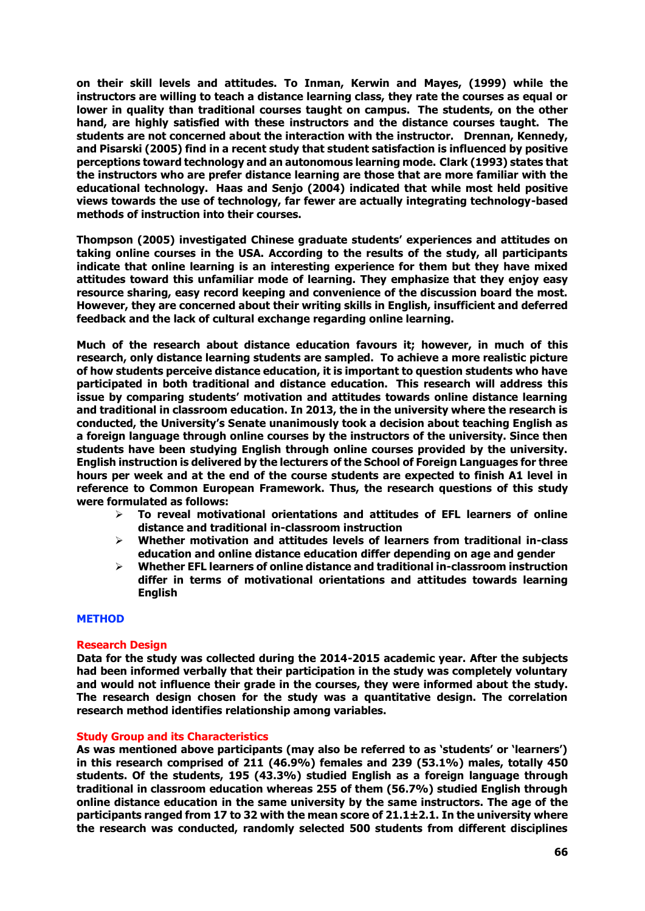**on their skill levels and attitudes. To Inman, Kerwin and Mayes, (1999) while the instructors are willing to teach a distance learning class, they rate the courses as equal or lower in quality than traditional courses taught on campus. The students, on the other hand, are highly satisfied with these instructors and the distance courses taught. The students are not concerned about the interaction with the instructor. Drennan, Kennedy, and Pisarski (2005) find in a recent study that student satisfaction is influenced by positive perceptions toward technology and an autonomous learning mode. Clark (1993) states that the instructors who are prefer distance learning are those that are more familiar with the educational technology. Haas and Senjo (2004) indicated that while most held positive views towards the use of technology, far fewer are actually integrating technology-based methods of instruction into their courses.** 

**Thompson (2005) investigated Chinese graduate students' experiences and attitudes on taking online courses in the USA. According to the results of the study, all participants indicate that online learning is an interesting experience for them but they have mixed attitudes toward this unfamiliar mode of learning. They emphasize that they enjoy easy resource sharing, easy record keeping and convenience of the discussion board the most. However, they are concerned about their writing skills in English, insufficient and deferred feedback and the lack of cultural exchange regarding online learning.**

**Much of the research about distance education favours it; however, in much of this research, only distance learning students are sampled. To achieve a more realistic picture of how students perceive distance education, it is important to question students who have participated in both traditional and distance education. This research will address this issue by comparing students' motivation and attitudes towards online distance learning and traditional in classroom education. In 2013, the in the university where the research is conducted, the University's Senate unanimously took a decision about teaching English as a foreign language through online courses by the instructors of the university. Since then students have been studying English through online courses provided by the university. English instruction is delivered by the lecturers of the School of Foreign Languages for three hours per week and at the end of the course students are expected to finish A1 level in reference to Common European Framework. Thus, the research questions of this study were formulated as follows:**

- **To reveal motivational orientations and attitudes of EFL learners of online distance and traditional in-classroom instruction**
- **Whether motivation and attitudes levels of learners from traditional in-class education and online distance education differ depending on age and gender**
- **Whether EFL learners of online distance and traditional in-classroom instruction differ in terms of motivational orientations and attitudes towards learning English**

#### **METHOD**

#### **Research Design**

**Data for the study was collected during the 2014-2015 academic year. After the subjects had been informed verbally that their participation in the study was completely voluntary and would not influence their grade in the courses, they were informed about the study. The research design chosen for the study was a quantitative design. The correlation research method identifies relationship among variables.**

# **Study Group and its Characteristics**

**As was mentioned above participants (may also be referred to as 'students' or 'learners') in this research comprised of 211 (46.9%) females and 239 (53.1%) males, totally 450 students. Of the students, 195 (43.3%) studied English as a foreign language through traditional in classroom education whereas 255 of them (56.7%) studied English through online distance education in the same university by the same instructors. The age of the participants ranged from 17 to 32 with the mean score of 21.1±2.1. In the university where the research was conducted, randomly selected 500 students from different disciplines**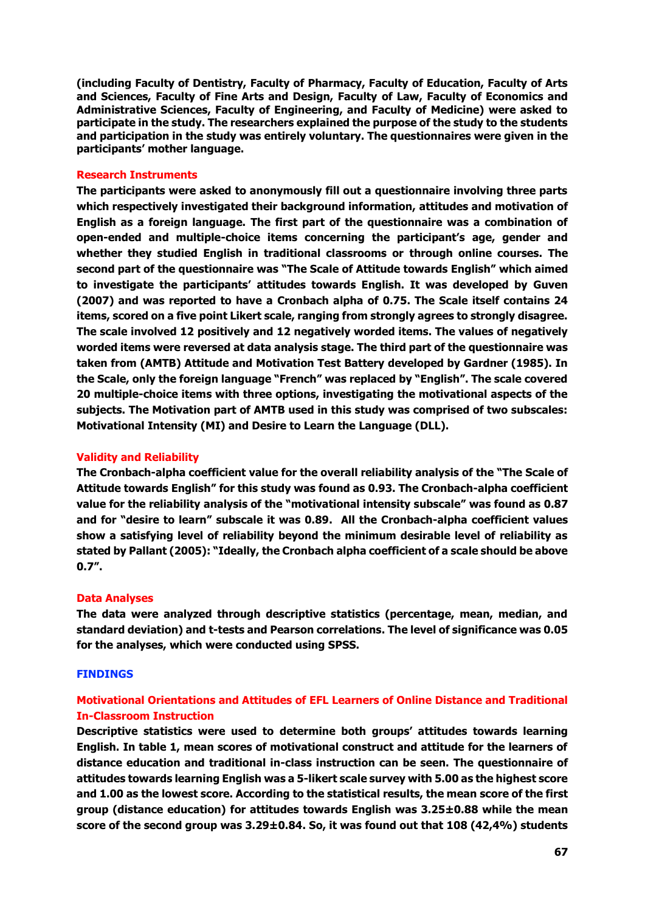**(including Faculty of Dentistry, Faculty of Pharmacy, Faculty of Education, Faculty of Arts and Sciences, Faculty of Fine Arts and Design, Faculty of Law, Faculty of Economics and Administrative Sciences, Faculty of Engineering, and Faculty of Medicine) were asked to participate in the study. The researchers explained the purpose of the study to the students and participation in the study was entirely voluntary. The questionnaires were given in the participants' mother language.** 

#### **Research Instruments**

**The participants were asked to anonymously fill out a questionnaire involving three parts which respectively investigated their background information, attitudes and motivation of English as a foreign language. The first part of the questionnaire was a combination of open-ended and multiple-choice items concerning the participant's age, gender and whether they studied English in traditional classrooms or through online courses. The second part of the questionnaire was "The Scale of Attitude towards English" which aimed to investigate the participants' attitudes towards English. It was developed by Guven (2007) and was reported to have a Cronbach alpha of 0.75. The Scale itself contains 24 items, scored on a five point Likert scale, ranging from strongly agrees to strongly disagree. The scale involved 12 positively and 12 negatively worded items. The values of negatively worded items were reversed at data analysis stage. The third part of the questionnaire was taken from (AMTB) Attitude and Motivation Test Battery developed by Gardner (1985). In the Scale, only the foreign language "French" was replaced by "English". The scale covered 20 multiple-choice items with three options, investigating the motivational aspects of the subjects. The Motivation part of AMTB used in this study was comprised of two subscales: Motivational Intensity (MI) and Desire to Learn the Language (DLL).** 

#### **Validity and Reliability**

**The Cronbach-alpha coefficient value for the overall reliability analysis of the "The Scale of Attitude towards English" for this study was found as 0.93. The Cronbach-alpha coefficient value for the reliability analysis of the "motivational intensity subscale" was found as 0.87 and for "desire to learn" subscale it was 0.89. All the Cronbach-alpha coefficient values show a satisfying level of reliability beyond the minimum desirable level of reliability as stated by Pallant (2005): "Ideally, the Cronbach alpha coefficient of a scale should be above 0.7".**

#### **Data Analyses**

**The data were analyzed through descriptive statistics (percentage, mean, median, and standard deviation) and t-tests and Pearson correlations. The level of significance was 0.05 for the analyses, which were conducted using SPSS.**

#### **FINDINGS**

# **Motivational Orientations and Attitudes of EFL Learners of Online Distance and Traditional In-Classroom Instruction**

**Descriptive statistics were used to determine both groups' attitudes towards learning English. In table 1, mean scores of motivational construct and attitude for the learners of distance education and traditional in-class instruction can be seen. The questionnaire of attitudes towards learning English was a 5-likert scale survey with 5.00 as the highest score and 1.00 as the lowest score. According to the statistical results, the mean score of the first group (distance education) for attitudes towards English was 3.25±0.88 while the mean score of the second group was 3.29±0.84. So, it was found out that 108 (42,4%) students**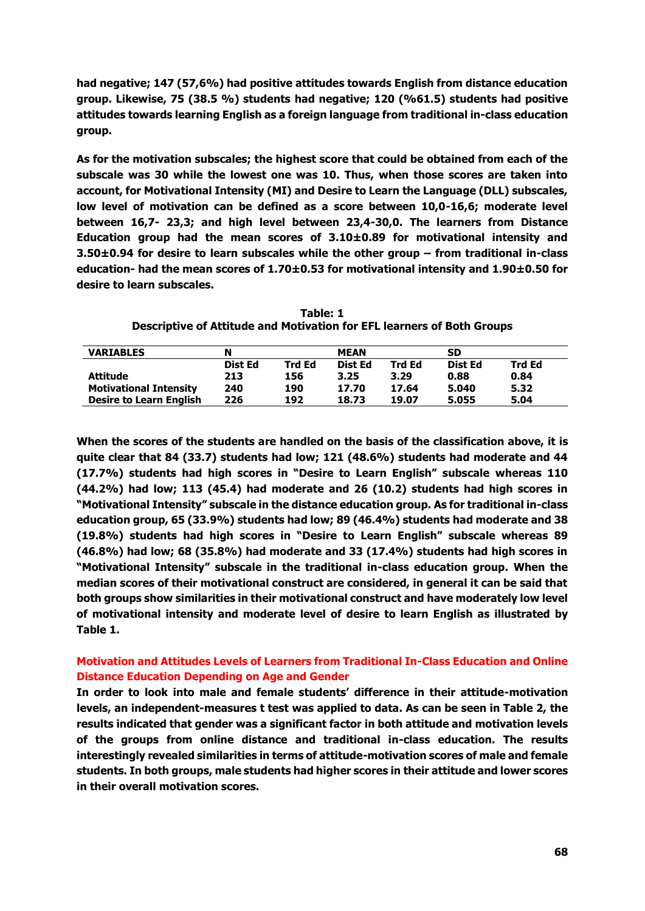**had negative; 147 (57,6%) had positive attitudes towards English from distance education group. Likewise, 75 (38.5 %) students had negative; 120 (%61.5) students had positive attitudes towards learning English as a foreign language from traditional in-class education group.** 

**As for the motivation subscales; the highest score that could be obtained from each of the subscale was 30 while the lowest one was 10. Thus, when those scores are taken into account, for Motivational Intensity (MI) and Desire to Learn the Language (DLL) subscales, low level of motivation can be defined as a score between 10,0-16,6; moderate level between 16,7- 23,3; and high level between 23,4-30,0. The learners from Distance Education group had the mean scores of 3.10±0.89 for motivational intensity and 3.50±0.94 for desire to learn subscales while the other group – from traditional in-class education- had the mean scores of 1.70±0.53 for motivational intensity and 1.90±0.50 for desire to learn subscales.** 

**Table: 1 Descriptive of Attitude and Motivation for EFL learners of Both Groups**

| <b>VARIABLES</b>               | N       |               | <b>MEAN</b> |               | SD             |               |
|--------------------------------|---------|---------------|-------------|---------------|----------------|---------------|
|                                | Dist Ed | <b>Trd Ed</b> | Dist Ed     | <b>Trd Ed</b> | <b>Dist Ed</b> | <b>Trd Ed</b> |
| Attitude                       | 213     | 156           | 3.25        | 3.29          | 0.88           | 0.84          |
| <b>Motivational Intensity</b>  | 240     | 190           | 17.70       | 17.64         | 5.040          | 5.32          |
| <b>Desire to Learn English</b> | 226     | 192           | 18.73       | 19.07         | 5.055          | 5.04          |

**When the scores of the students are handled on the basis of the classification above, it is quite clear that 84 (33.7) students had low; 121 (48.6%) students had moderate and 44 (17.7%) students had high scores in "Desire to Learn English" subscale whereas 110 (44.2%) had low; 113 (45.4) had moderate and 26 (10.2) students had high scores in "Motivational Intensity" subscale in the distance education group. As for traditional in-class education group, 65 (33.9%) students had low; 89 (46.4%) students had moderate and 38 (19.8%) students had high scores in "Desire to Learn English" subscale whereas 89 (46.8%) had low; 68 (35.8%) had moderate and 33 (17.4%) students had high scores in "Motivational Intensity" subscale in the traditional in-class education group. When the median scores of their motivational construct are considered, in general it can be said that both groups show similarities in their motivational construct and have moderately low level of motivational intensity and moderate level of desire to learn English as illustrated by Table 1.** 

# **Motivation and Attitudes Levels of Learners from Traditional In-Class Education and Online Distance Education Depending on Age and Gender**

**In order to look into male and female students' difference in their attitude-motivation levels, an independent-measures t test was applied to data. As can be seen in Table 2, the results indicated that gender was a significant factor in both attitude and motivation levels of the groups from online distance and traditional in-class education. The results interestingly revealed similarities in terms of attitude-motivation scores of male and female students. In both groups, male students had higher scores in their attitude and lower scores in their overall motivation scores.**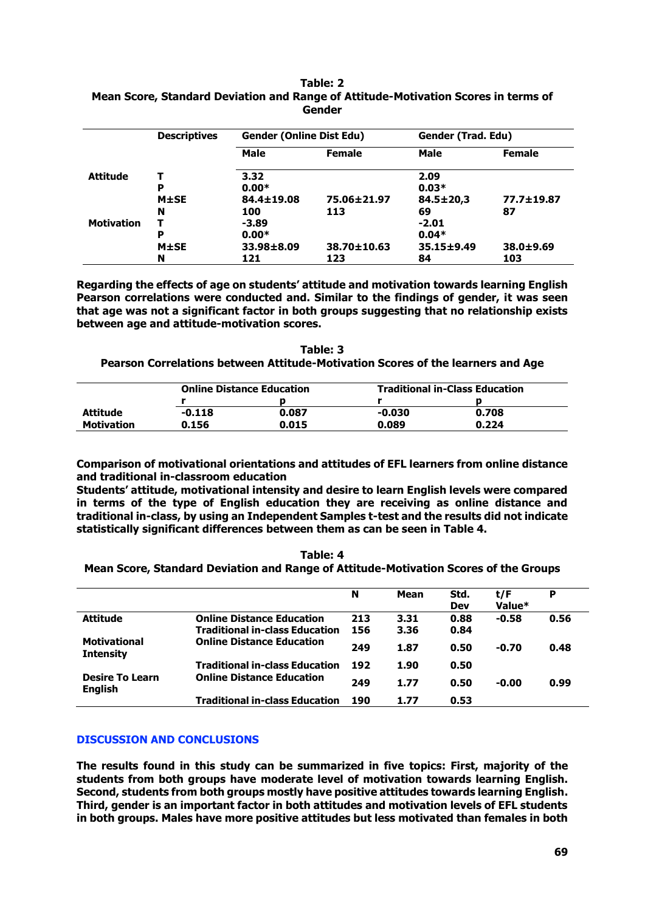|                   | <b>Descriptives</b> | <b>Gender (Online Dist Edu)</b> |                   | Gender (Trad. Edu) |                 |  |
|-------------------|---------------------|---------------------------------|-------------------|--------------------|-----------------|--|
|                   |                     | <b>Male</b>                     | <b>Female</b>     | <b>Male</b>        | <b>Female</b>   |  |
| <b>Attitude</b>   |                     | 3.32                            |                   | 2.09               |                 |  |
|                   | Р                   | $0.00*$                         |                   | $0.03*$            |                 |  |
|                   | $M\pm SE$           | 84.4±19.08                      | 75.06±21.97       | $84.5 \pm 20.3$    | 77.7±19.87      |  |
|                   | N                   | 100                             | 113               | 69                 | 87              |  |
| <b>Motivation</b> |                     | $-3.89$                         |                   | $-2.01$            |                 |  |
|                   | P                   | $0.00*$                         |                   | $0.04*$            |                 |  |
|                   | $M\pm SE$           | 33.98±8.09                      | $38.70 \pm 10.63$ | 35.15±9.49         | $38.0 \pm 9.69$ |  |
|                   | N                   | 121                             | 123               | 84                 | 103             |  |

#### **Table: 2 Mean Score, Standard Deviation and Range of Attitude-Motivation Scores in terms of Gender**

**Regarding the effects of age on students' attitude and motivation towards learning English Pearson correlations were conducted and. Similar to the findings of gender, it was seen that age was not a significant factor in both groups suggesting that no relationship exists between age and attitude-motivation scores.**

### **Table: 3 Pearson Correlations between Attitude-Motivation Scores of the learners and Age**

|                   | <b>Online Distance Education</b> |       | <b>Traditional in-Class Education</b> |       |  |
|-------------------|----------------------------------|-------|---------------------------------------|-------|--|
|                   |                                  |       |                                       |       |  |
| Attitude          | $-0.118$                         | 0.087 | $-0.030$                              | 0.708 |  |
| <b>Motivation</b> | 0.156                            | 0.015 | 0.089                                 | 0.224 |  |

**Comparison of motivational orientations and attitudes of EFL learners from online distance and traditional in-classroom education**

**Students' attitude, motivational intensity and desire to learn English levels were compared in terms of the type of English education they are receiving as online distance and traditional in-class, by using an Independent Samples t-test and the results did not indicate statistically significant differences between them as can be seen in Table 4.**

**Table: 4 Mean Score, Standard Deviation and Range of Attitude-Motivation Scores of the Groups**

|                                          |                                       | N   | Mean | Std.<br><b>Dev</b> | t/F<br>Value* | P    |
|------------------------------------------|---------------------------------------|-----|------|--------------------|---------------|------|
| <b>Attitude</b>                          | <b>Online Distance Education</b>      | 213 | 3.31 | 0.88               | $-0.58$       | 0.56 |
|                                          | <b>Traditional in-class Education</b> | 156 | 3.36 | 0.84               |               |      |
| <b>Motivational</b><br><b>Intensity</b>  | <b>Online Distance Education</b>      | 249 | 1.87 | 0.50               | -0.70         | 0.48 |
|                                          | <b>Traditional in-class Education</b> | 192 | 1.90 | 0.50               |               |      |
| <b>Desire To Learn</b><br><b>English</b> | <b>Online Distance Education</b>      | 249 | 1.77 | 0.50               | $-0.00$       | 0.99 |
|                                          | <b>Traditional in-class Education</b> | 190 | 1.77 | 0.53               |               |      |

# **DISCUSSION AND CONCLUSIONS**

**The results found in this study can be summarized in five topics: First, majority of the students from both groups have moderate level of motivation towards learning English. Second, students from both groups mostly have positive attitudes towards learning English. Third, gender is an important factor in both attitudes and motivation levels of EFL students in both groups. Males have more positive attitudes but less motivated than females in both**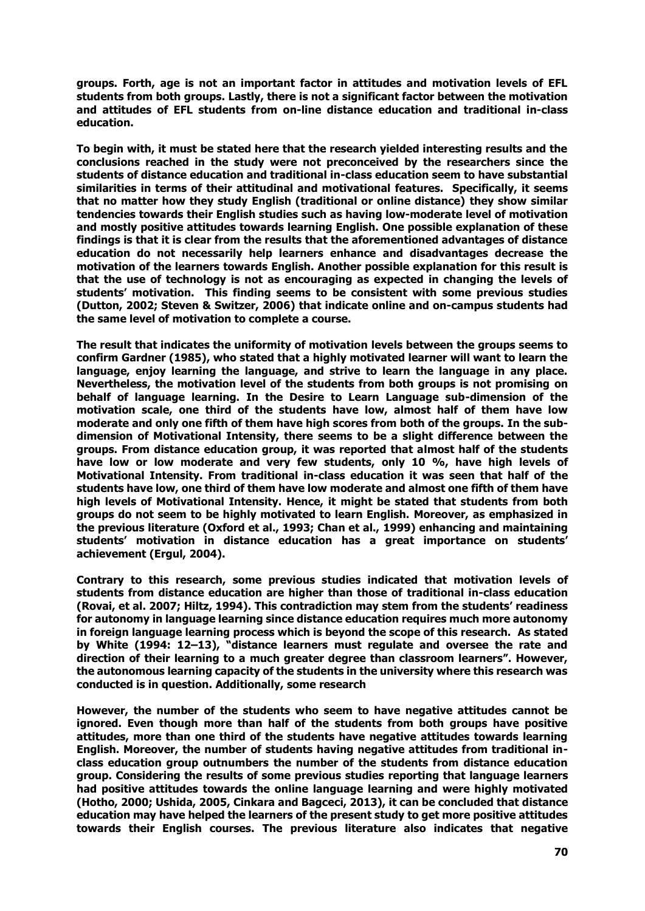**groups. Forth, age is not an important factor in attitudes and motivation levels of EFL students from both groups. Lastly, there is not a significant factor between the motivation and attitudes of EFL students from on-line distance education and traditional in-class education.** 

**To begin with, it must be stated here that the research yielded interesting results and the conclusions reached in the study were not preconceived by the researchers since the students of distance education and traditional in-class education seem to have substantial similarities in terms of their attitudinal and motivational features. Specifically, it seems that no matter how they study English (traditional or online distance) they show similar tendencies towards their English studies such as having low-moderate level of motivation and mostly positive attitudes towards learning English. One possible explanation of these findings is that it is clear from the results that the aforementioned advantages of distance education do not necessarily help learners enhance and disadvantages decrease the motivation of the learners towards English. Another possible explanation for this result is that the use of technology is not as encouraging as expected in changing the levels of students' motivation. This finding seems to be consistent with some previous studies (Dutton, 2002; Steven & Switzer, 2006) that indicate online and on-campus students had the same level of motivation to complete a course.**

**The result that indicates the uniformity of motivation levels between the groups seems to confirm Gardner (1985), who stated that a highly motivated learner will want to learn the language, enjoy learning the language, and strive to learn the language in any place. Nevertheless, the motivation level of the students from both groups is not promising on behalf of language learning. In the Desire to Learn Language sub-dimension of the motivation scale, one third of the students have low, almost half of them have low moderate and only one fifth of them have high scores from both of the groups. In the subdimension of Motivational Intensity, there seems to be a slight difference between the groups. From distance education group, it was reported that almost half of the students have low or low moderate and very few students, only 10 %, have high levels of Motivational Intensity. From traditional in-class education it was seen that half of the students have low, one third of them have low moderate and almost one fifth of them have high levels of Motivational Intensity. Hence, it might be stated that students from both groups do not seem to be highly motivated to learn English. Moreover, as emphasized in the previous literature (Oxford et al., 1993; Chan et al., 1999) enhancing and maintaining students' motivation in distance education has a great importance on students' achievement (Ergul, 2004).** 

**Contrary to this research, some previous studies indicated that motivation levels of students from distance education are higher than those of traditional in-class education [\(Rovai, e](http://www.highbeam.com/Search.aspx?q=author:%5bRovai%2c+Alfred+P%5d)t al. 2007; Hiltz, 1994). This contradiction may stem from the students' readiness for autonomy in language learning since distance education requires much more autonomy in foreign language learning process which is beyond the scope of this research. As stated by White (1994: 12–13), "distance learners must regulate and oversee the rate and direction of their learning to a much greater degree than classroom learners". However, the autonomous learning capacity of the students in the university where this research was conducted is in question. Additionally, some research** 

**However, the number of the students who seem to have negative attitudes cannot be ignored. Even though more than half of the students from both groups have positive attitudes, more than one third of the students have negative attitudes towards learning English. Moreover, the number of students having negative attitudes from traditional inclass education group outnumbers the number of the students from distance education group. Considering the results of some previous studies reporting that language learners had positive attitudes towards the online language learning and were highly motivated (Hotho, 2000; Ushida, 2005, Cinkara and Bagceci, 2013), it can be concluded that distance education may have helped the learners of the present study to get more positive attitudes towards their English courses. The previous literature also indicates that negative**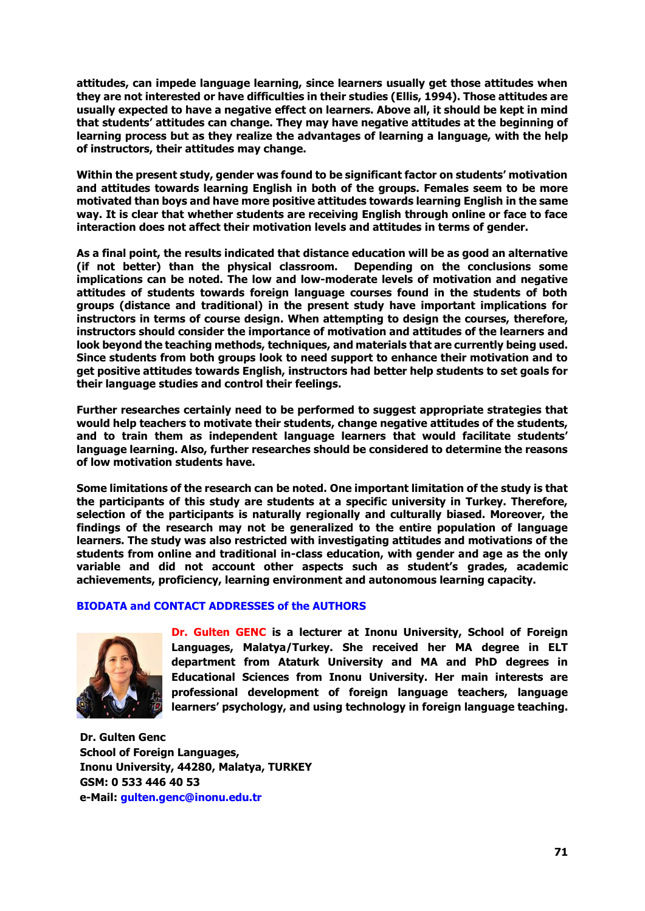**attitudes, can impede language learning, since learners usually get those attitudes when they are not interested or have difficulties in their studies (Ellis, 1994). Those attitudes are usually expected to have a negative effect on learners. Above all, it should be kept in mind that students' attitudes can change. They may have negative attitudes at the beginning of learning process but as they realize the advantages of learning a language, with the help of instructors, their attitudes may change.**

**Within the present study, gender was found to be significant factor on students' motivation and attitudes towards learning English in both of the groups. Females seem to be more motivated than boys and have more positive attitudes towards learning English in the same way. It is clear that whether students are receiving English through online or face to face interaction does not affect their motivation levels and attitudes in terms of gender.** 

**As a final point, the results indicated that distance education will be as good an alternative (if not better) than the physical classroom. Depending on the conclusions some implications can be noted. The low and low-moderate levels of motivation and negative attitudes of students towards foreign language courses found in the students of both groups (distance and traditional) in the present study have important implications for instructors in terms of course design. When attempting to design the courses, therefore, instructors should consider the importance of motivation and attitudes of the learners and look beyond the teaching methods, techniques, and materials that are currently being used. Since students from both groups look to need support to enhance their motivation and to get positive attitudes towards English, instructors had better help students to set goals for their language studies and control their feelings.** 

**Further researches certainly need to be performed to suggest appropriate strategies that would help teachers to motivate their students, change negative attitudes of the students, and to train them as independent language learners that would facilitate students' language learning. Also, further researches should be considered to determine the reasons of low motivation students have.** 

**Some limitations of the research can be noted. One important limitation of the study is that the participants of this study are students at a specific university in Turkey. Therefore, selection of the participants is naturally regionally and culturally biased. Moreover, the findings of the research may not be generalized to the entire population of language learners. The study was also restricted with investigating attitudes and motivations of the students from online and traditional in-class education, with gender and age as the only variable and did not account other aspects such as student's grades, academic achievements, proficiency, learning environment and autonomous learning capacity.**

# **BIODATA and CONTACT ADDRESSES of the AUTHORS**



**Dr. Gulten GENC is a lecturer at Inonu University, School of Foreign Languages, Malatya/Turkey. She received her MA degree in ELT department from Ataturk University and MA and PhD degrees in Educational Sciences from Inonu University. Her main interests are professional development of foreign language teachers, language learners' psychology, and using technology in foreign language teaching.** 

**Dr. Gulten Genc School of Foreign Languages, Inonu University, 44280, Malatya, TURKEY GSM: 0 533 446 40 53 e-Mail: [gulten.genc@inonu.edu.tr](mailto:gulten.genc@inonu.edu.tr)**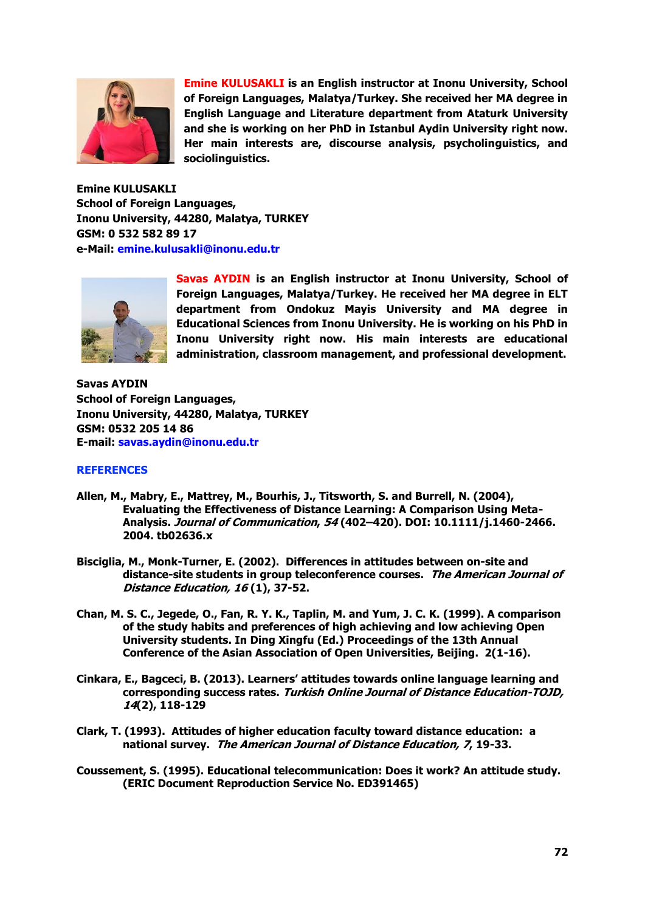

**Emine KULUSAKLI is an English instructor at Inonu University, School of Foreign Languages, Malatya/Turkey. She received her MA degree in English Language and Literature department from Ataturk University and she is working on her PhD in Istanbul Aydin University right now. Her main interests are, discourse analysis, psycholinguistics, and sociolinguistics.**

**Emine KULUSAKLI School of Foreign Languages, Inonu University, 44280, Malatya, TURKEY GSM: 0 532 582 89 17 e-Mail: [emine.kulusakli@inonu.edu.tr](mailto:emine.kulusakli@inonu.edu.tr)**



**Savas AYDIN is an English instructor at Inonu University, School of Foreign Languages, Malatya/Turkey. He received her MA degree in ELT department from Ondokuz Mayis University and MA degree in Educational Sciences from Inonu University. He is working on his PhD in Inonu University right now. His main interests are educational administration, classroom management, and professional development.** 

**Savas AYDIN School of Foreign Languages, Inonu University, 44280, Malatya, TURKEY GSM: 0532 205 14 86 E-mail: [savas.aydin@inonu.edu.tr](mailto:savas.aydin@inonu.edu.tr)**

#### **REFERENCES**

- **Allen, M., Mabry, E., Mattrey, M., Bourhis, J., Titsworth, S. and Burrell, N. (2004), Evaluating the Effectiveness of Distance Learning: A Comparison Using Meta-Analysis. Journal of Communication, 54 (402–420). DOI: 10.1111/j.1460-2466. 2004. tb02636.x**
- **Bisciglia, M., Monk-Turner, E. (2002). Differences in attitudes between on-site and distance-site students in group teleconference courses. The American Journal of Distance Education, 16 (1), 37-52.**
- **Chan, M. S. C., Jegede, O., Fan, R. Y. K., Taplin, M. and Yum, J. C. K. (1999). A comparison of the study habits and preferences of high achieving and low achieving Open University students. In Ding Xingfu (Ed.) Proceedings of the 13th Annual Conference of the Asian Association of Open Universities, Beijing. 2(1-16).**
- **Cinkara, E., Bagceci, B. (2013). Learners' attitudes towards online language learning and corresponding success rates. Turkish Online Journal of Distance Education-TOJD, 14(2), 118-129**
- **Clark, T. (1993). Attitudes of higher education faculty toward distance education: a national survey. The American Journal of Distance Education, 7, 19-33.**
- **Coussement, S. (1995). Educational telecommunication: Does it work? An attitude study. (ERIC Document Reproduction Service No. ED391465)**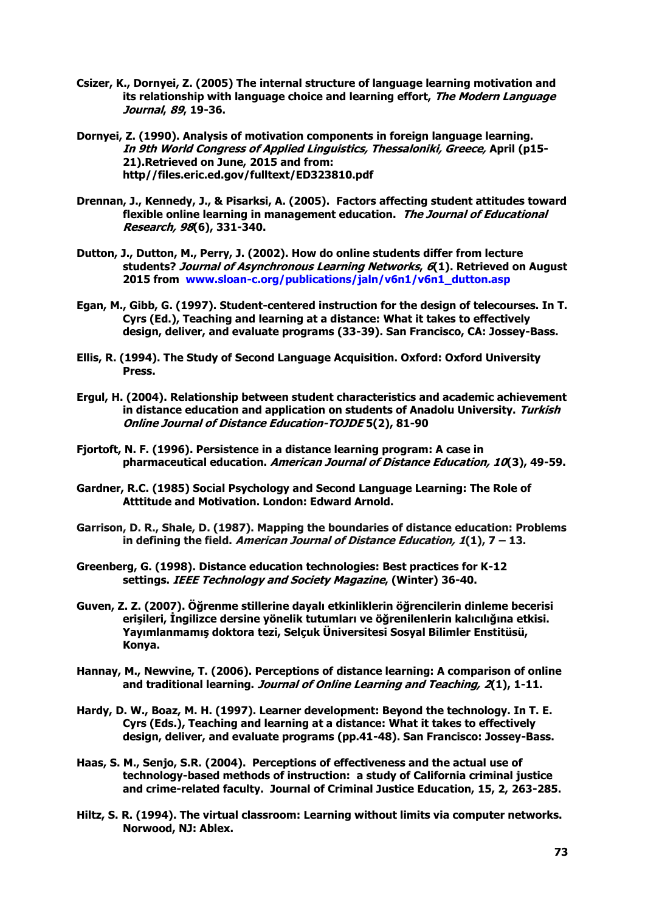- **Csizer, K., Dornyei, Z. (2005) The internal structure of language learning motivation and its relationship with language choice and learning effort, The Modern Language Journal, 89, 19-36.**
- **Dornyei, Z. (1990). Analysis of motivation components in foreign language learning. In 9th World Congress of Applied Linguistics, Thessaloniki, Greece, April (p15- 21).Retrieved on June, 2015 and from: http//files.eric.ed.gov/fulltext/ED323810.pdf**
- **Drennan, J., Kennedy, J., & Pisarksi, A. (2005). Factors affecting student attitudes toward flexible online learning in management education. The Journal of Educational Research, 98(6), 331-340.**
- **Dutton, J., Dutton, M., Perry, J. (2002). How do online students differ from lecture students? Journal of Asynchronous Learning Networks, 6(1). Retrieved on August 2015 from [www.sloan-c.org/publications/jaln/v6n1/v6n1\\_dutton.asp](http://www.amstat.org/publications/jse/v13n3/dutton_link1.html)**
- **Egan, M., Gibb, G. (1997). Student-centered instruction for the design of telecourses. In T. Cyrs (Ed.), Teaching and learning at a distance: What it takes to effectively design, deliver, and evaluate programs (33-39). San Francisco, CA: Jossey-Bass.**
- **Ellis, R. (1994). The Study of Second Language Acquisition. Oxford: Oxford University Press.**
- **Ergul, H. (2004). Relationship between student characteristics and academic achievement in distance education and application on students of Anadolu University. Turkish Online Journal of Distance Education-TOJDE 5(2), 81-90**
- **Fjortoft, N. F. (1996). Persistence in a distance learning program: A case in pharmaceutical education. American Journal of Distance Education, 10(3), 49-59.**
- **Gardner, R.C. (1985) Social Psychology and Second Language Learning: The Role of Atttitude and Motivation. London: Edward Arnold.**
- **Garrison, D. R., Shale, D. (1987). Mapping the boundaries of distance education: Problems in defining the field. American Journal of Distance Education, 1(1), 7 – 13.**
- **Greenberg, G. (1998). Distance education technologies: Best practices for K-12 settings. IEEE Technology and Society Magazine, (Winter) 36-40.**
- **Guven, Z. Z. (2007). Öğrenme stillerine dayalı etkinliklerin öğrencilerin dinleme becerisi erişileri, İngilizce dersine yönelik tutumları ve öğrenilenlerin kalıcılığına etkisi. Yayımlanmamış doktora tezi, Selçuk Üniversitesi Sosyal Bilimler Enstitüsü, Konya.**
- **Hannay, M., Newvine, T. (2006). Perceptions of distance learning: A comparison of online and traditional learning. Journal of Online Learning and Teaching, 2(1), 1-11.**
- **Hardy, D. W., Boaz, M. H. (1997). Learner development: Beyond the technology. In T. E. Cyrs (Eds.), Teaching and learning at a distance: What it takes to effectively design, deliver, and evaluate programs (pp.41-48). San Francisco: Jossey-Bass.**
- **Haas, S. M., Senjo, S.R. (2004). Perceptions of effectiveness and the actual use of technology-based methods of instruction: a study of California criminal justice and crime-related faculty. Journal of Criminal Justice Education, 15, 2, 263-285.**
- **Hiltz, S. R. (1994). The virtual classroom: Learning without limits via computer networks. Norwood, NJ: Ablex.**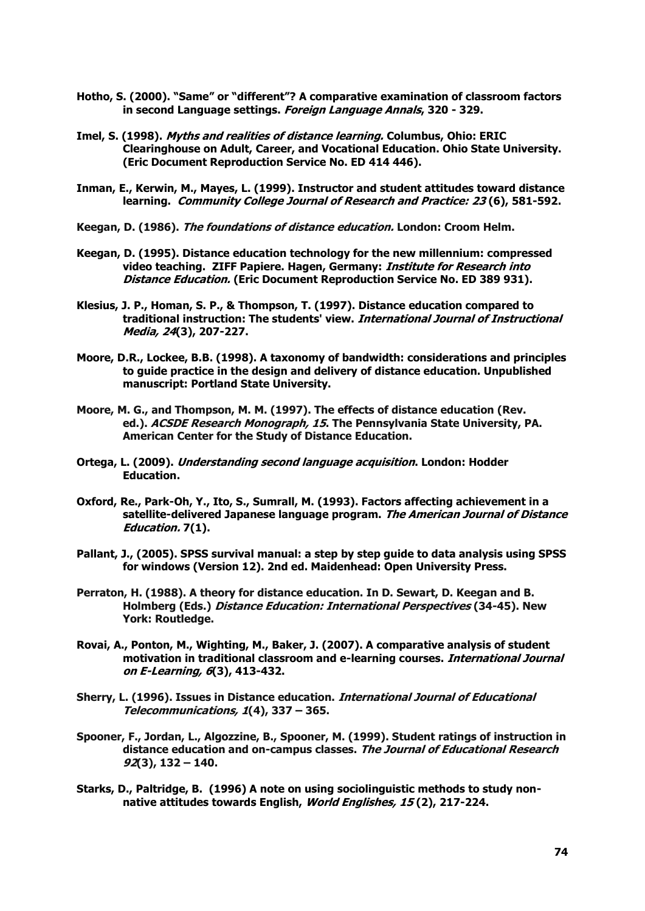- **Hotho, S. (2000). "Same" or "different"? A comparative examination of classroom factors in second Language settings. Foreign Language Annals, 320 - 329.**
- **Imel, S. (1998). Myths and realities of distance learning. Columbus, Ohio: ERIC Clearinghouse on Adult, Career, and Vocational Education. Ohio State University. (Eric Document Reproduction Service No. ED 414 446).**
- **Inman, E., Kerwin, M., Mayes, L. (1999). Instructor and student attitudes toward distance learning. Community College Journal of Research and Practice: 23 (6), 581-592.**
- **Keegan, D. (1986). The foundations of distance education. London: Croom Helm.**
- **Keegan, D. (1995). Distance education technology for the new millennium: compressed video teaching. ZIFF Papiere. Hagen, Germany: Institute for Research into Distance Education. (Eric Document Reproduction Service No. ED 389 931).**
- **Klesius, J. P., Homan, S. P., & Thompson, T. (1997). Distance education compared to traditional instruction: The students' view. International Journal of Instructional Media, 24(3), 207-227.**
- **Moore, D.R., Lockee, B.B. (1998). A taxonomy of bandwidth: considerations and principles to guide practice in the design and delivery of distance education. Unpublished manuscript: Portland State University.**
- **Moore, M. G., and Thompson, M. M. (1997). The effects of distance education (Rev. ed.). ACSDE Research Monograph, 15. The Pennsylvania State University, PA. American Center for the Study of Distance Education.**
- **Ortega, L. (2009). Understanding second language acquisition. London: Hodder Education.**
- **Oxford, Re., Park-Oh, Y., Ito, S., Sumrall, M. (1993). Factors affecting achievement in a satellite-delivered Japanese language program. The American Journal of Distance Education. 7(1).**
- **Pallant, J., (2005). SPSS survival manual: a step by step guide to data analysis using SPSS for windows (Version 12). 2nd ed. Maidenhead: Open University Press.**
- **Perraton, H. (1988). A theory for distance education. In D. Sewart, D. Keegan and B. Holmberg (Eds.) Distance Education: International Perspectives (34-45). New York: Routledge.**
- **Rovai, A., Ponton, M., Wighting, M., Baker, J. (2007). A comparative analysis of student motivation in traditional classroom and e-learning courses. International Journal on E-Learning, 6(3), 413-432.**
- **Sherry, L. (1996). Issues in Distance education. International Journal of Educational Telecommunications, 1(4), 337 – 365.**
- **Spooner, F., Jordan, L., Algozzine, B., Spooner, M. (1999). Student ratings of instruction in distance education and on-campus classes. The Journal of Educational Research 92(3), 132 – 140.**
- **Starks, D., Paltridge, B. (1996) A note on using sociolinguistic methods to study nonnative attitudes towards English, World Englishes, 15 (2), 217-224.**